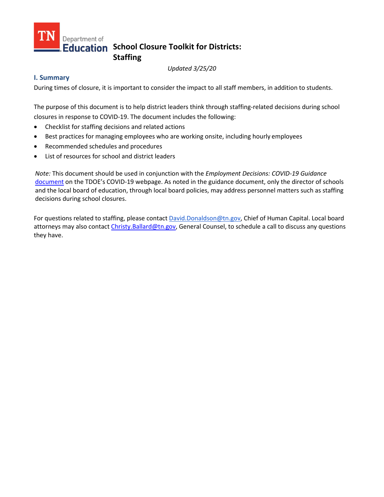# Department of **Education** School Closure Toolkit for Districts: **Staffing**

*Updated 3/25/20* 

### **I. Summary**

During times of closure, it is important to consider the impact to all staff members, in addition to students.

The purpose of this document is to help district leaders think through staffing-related decisions during school closures in response to COVID-19. The document includes the following:

- Checklist for staffing decisions and related actions
- Best practices for managing employees who are working onsite, including hourly employees
- Recommended schedules and procedures
- List of resources for school and district leaders

*Note:* This document should be used in conjunction with the *Employment Decisions: COVID-19 Guidance* [document](https://www.tn.gov/content/dam/tn/education/health-&-safety/Employment_Decisions_COVID-19_Guidance.pdf) on the TDOE's COVID-19 webpage. As noted in the guidance document, only the director of schools and the local board of education, through local board policies, may address personnel matters such as staffing decisions during school closures.

For questions related to staffing, please contac[t David.Donaldson@tn.gov, C](mailto:David.Donaldson@tn.gov)hief of Human Capital. Local board attorneys may also contact [Christy.Ballard@tn.gov,](mailto:Christy.Ballard@tn.gov) General Counsel, to schedule a call to discuss any questions they have.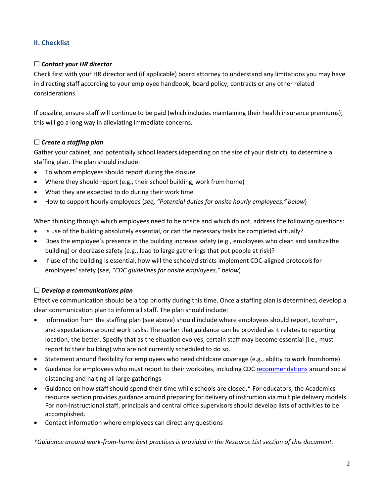## **II. Checklist**

### ☐ *Contact your HR director*

Check first with your HR director and (if applicable) board attorney to understand any limitations you may have in directing staff according to your employee handbook, board policy, contracts or any other related considerations.

If possible, ensure staff will continue to be paid (which includes maintaining their health insurance premiums); this will go a long way in alleviating immediate concerns.

### ☐ *Create a staffing plan*

Gather your cabinet, and potentially school leaders (depending on the size of your district), to determine a staffing plan. The plan should include:

- To whom employees should report during the closure
- Where they should report (e.g., their school building, work from home)
- What they are expected to do during their work time
- How to support hourly employees (*see, "Potential duties for onsite hourly employees," below*)

When thinking through which employees need to be onsite and which do not, address the following questions:

- Is use of the building absolutely essential, or can the necessary tasks be completed virtually?
- Does the employee's presence in the building increase safety (e.g., employees who clean and sanitizethe building) or decrease safety (e.g., lead to large gatherings that put people at risk)?
- If use of the building is essential, how will the school/districts implement CDC-aligned protocolsfor employees' safety (*see, "CDC guidelines for onsite employees," below*)

### ☐ *Develop a communications plan*

Effective communication should be a top priority during this time. Once a staffing plan is determined, develop a clear communication plan to inform all staff. The plan should include:

- Information from the staffing plan (see above) should include where employees should report, towhom, and expectations around work tasks. The earlier that guidance can be provided as it relates to reporting location, the better. Specify that as the situation evolves, certain staff may become essential (i.e., must report to their building) who are not currently scheduled to do so.
- Statement around flexibility for employees who need childcare coverage (e.g., ability to work fromhome)
- Guidance for employees who must report to their worksites, including CDC [recommendations](https://www.cdc.gov/coronavirus/2019-ncov/community/schools-childcare/index.html) around social distancing and halting all large gatherings
- Guidance on how staff should spend their time while schools are closed.\* For educators, the Academics resource section provides guidance around preparing for delivery of instruction via multiple delivery models. For non-instructional staff, principals and central office supervisors should develop lists of activities to be accomplished.
- Contact information where employees can direct any questions

*\*Guidance around work-from-home best practices is provided in the Resource List section of this document.*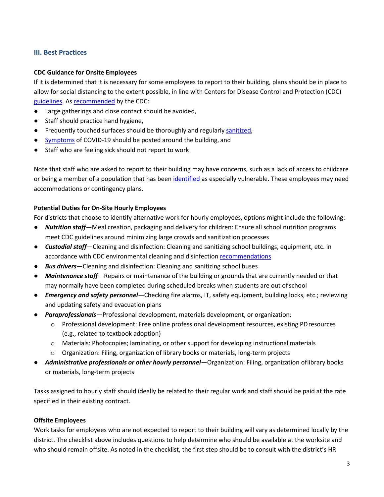### **III. Best Practices**

#### **CDC Guidance for Onsite Employees**

If it is determined that it is necessary for some employees to report to their building, plans should be in place to allow for social distancing to the extent possible, in line with Centers for Disease Control and Protection (CDC) [guidelines. A](https://www.cdc.gov/coronavirus/2019-ncov/community/index.html)s [recommended](https://www.cdc.gov/coronavirus/2019-ncov/community/schools-childcare/index.html) by the CDC:

- Large gatherings and close contact should be avoided,
- Staff should practice hand hygiene,
- **•** Frequently touched surfaces should be thoroughly and regularly [sanitized,](https://www.cdc.gov/coronavirus/2019-ncov/community/organizations/cleaning-disinfection.html)
- [Symptoms](https://www.cdc.gov/coronavirus/2019-ncov/downloads/COVID19-symptoms.pdf) of COVID-19 should be posted around the building, and
- Staff who are feeling sick should not report to work

Note that staff who are asked to report to their building may have concerns, such as a lack of access to childcare or being a member of a population that has been [identified](https://www.cdc.gov/coronavirus/2019-ncov/specific-groups/high-risk-complications.html) as especially vulnerable. These employees may need accommodations or contingency plans.

#### **Potential Duties for On-Site Hourly Employees**

For districts that choose to identify alternative work for hourly employees, options might include the following:

- *Nutrition staff*—Meal creation, packaging and delivery for children: Ensure all school nutrition programs meet CDC guidelines around minimizing large crowds and sanitization processes
- *Custodial staff*—Cleaning and disinfection: Cleaning and sanitizing school buildings, equipment, etc. in accordance with CDC environmental cleaning and disinfection [recommendations](https://www.cdc.gov/coronavirus/2019-ncov/community/organizations/cleaning-disinfection.html)
- *Bus drivers*—Cleaning and disinfection: Cleaning and sanitizing school buses
- *Maintenance staff*—Repairs or maintenance of the building or grounds that are currently needed or that may normally have been completed during scheduled breaks when students are out ofschool
- *Emergency and safety personnel*—Checking fire alarms, IT, safety equipment, building locks, etc.; reviewing and updating safety and evacuation plans
- *Paraprofessionals*—Professional development, materials development, or organization:
	- o Professional development: Free online professional development resources, existing PDresources (e.g., related to textbook adoption)
	- o Materials: Photocopies; laminating, or other support for developing instructional materials
	- o Organization: Filing, organization of library books or materials, long-term projects
- *Administrative professionals or other hourly personnel*—Organization: Filing, organization oflibrary books or materials, long-term projects

Tasks assigned to hourly staff should ideally be related to their regular work and staff should be paid at the rate specified in their existing contract.

#### **Offsite Employees**

Work tasks for employees who are not expected to report to their building will vary as determined locally by the district. The checklist above includes questions to help determine who should be available at the worksite and who should remain offsite. As noted in the checklist, the first step should be to consult with the district's HR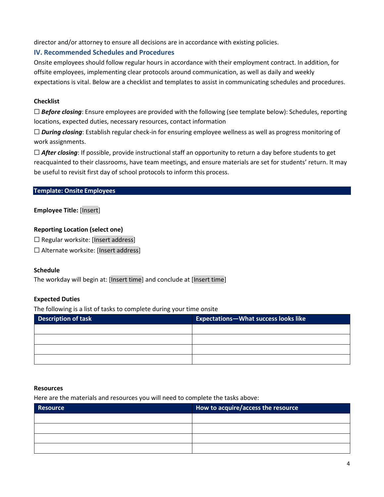director and/or attorney to ensure all decisions are in accordance with existing policies.

### **IV. Recommended Schedules and Procedures**

Onsite employees should follow regular hours in accordance with their employment contract. In addition, for offsite employees, implementing clear protocols around communication, as well as daily and weekly expectations is vital. Below are a checklist and templates to assist in communicating schedules and procedures.

### **Checklist**

□ **Before closing**: Ensure employees are provided with the following (see template below): Schedules, reporting locations, expected duties, necessary resources, contact information

□ *During closing*: Establish regular check-in for ensuring employee wellness as well as progress monitoring of work assignments.

□ **After closing**: If possible, provide instructional staff an opportunity to return a day before students to get reacquainted to their classrooms, have team meetings, and ensure materials are set for students' return. It may be useful to revisit first day of school protocols to inform this process.

### **Template: Onsite Employees**

### **Employee Title:** [Insert]

#### **Reporting Location (select one)**

☐ Regular worksite: [Insert address]

☐ Alternate worksite: [Insert address]

#### **Schedule**

The workday will begin at: [Insert time] and conclude at [Insert time]

### **Expected Duties**

The following is a list of tasks to complete during your time onsite

| <b>Description of task</b> | <b>Expectations-What success looks like</b> |
|----------------------------|---------------------------------------------|
|                            |                                             |
|                            |                                             |
|                            |                                             |
|                            |                                             |

#### **Resources**

Here are the materials and resources you will need to complete the tasks above:

| Resource | How to acquire/access the resource |
|----------|------------------------------------|
|          |                                    |
|          |                                    |
|          |                                    |
|          |                                    |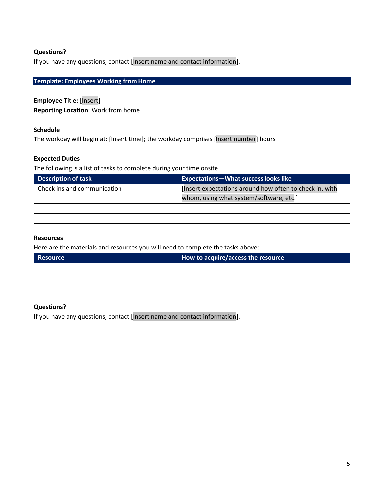### **Questions?**

If you have any questions, contact [Insert name and contact information].

## **Template: Employees Working from Home**

**Employee Title:** [Insert] **Reporting Location**: Work from home

#### **Schedule**

The workday will begin at: [Insert time]; the workday comprises [Insert number] hours

#### **Expected Duties**

The following is a list of tasks to complete during your time onsite

| <b>Description of task</b>  | <b>Expectations-What success looks like</b>             |
|-----------------------------|---------------------------------------------------------|
| Check ins and communication | [Insert expectations around how often to check in, with |
|                             | whom, using what system/software, etc.]                 |
|                             |                                                         |
|                             |                                                         |

#### **Resources**

Here are the materials and resources you will need to complete the tasks above:

| Resource | How to acquire/access the resource |
|----------|------------------------------------|
|          |                                    |
|          |                                    |
|          |                                    |

#### **Questions?**

If you have any questions, contact [Insert name and contact information].